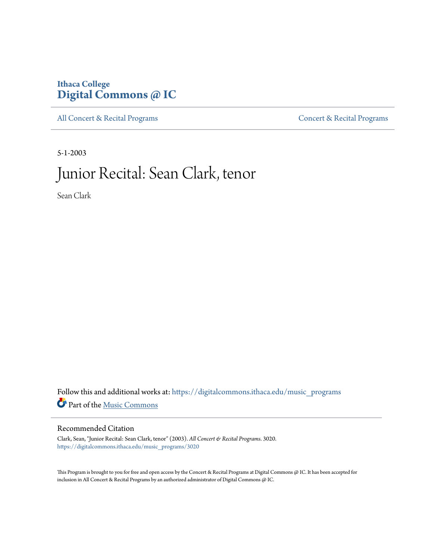## **Ithaca College [Digital Commons @ IC](https://digitalcommons.ithaca.edu?utm_source=digitalcommons.ithaca.edu%2Fmusic_programs%2F3020&utm_medium=PDF&utm_campaign=PDFCoverPages)**

[All Concert & Recital Programs](https://digitalcommons.ithaca.edu/music_programs?utm_source=digitalcommons.ithaca.edu%2Fmusic_programs%2F3020&utm_medium=PDF&utm_campaign=PDFCoverPages) **[Concert & Recital Programs](https://digitalcommons.ithaca.edu/som_programs?utm_source=digitalcommons.ithaca.edu%2Fmusic_programs%2F3020&utm_medium=PDF&utm_campaign=PDFCoverPages)** 

5-1-2003

# Junior Recital: Sean Clark, tenor

Sean Clark

 ${\bf Follow~this~and~additional~works~at:~https://digitalcommons.ithaca.edu/music\_programs}$ Part of the [Music Commons](http://network.bepress.com/hgg/discipline/518?utm_source=digitalcommons.ithaca.edu%2Fmusic_programs%2F3020&utm_medium=PDF&utm_campaign=PDFCoverPages)

#### Recommended Citation

Clark, Sean, "Junior Recital: Sean Clark, tenor" (2003). *All Concert & Recital Programs*. 3020. [https://digitalcommons.ithaca.edu/music\\_programs/3020](https://digitalcommons.ithaca.edu/music_programs/3020?utm_source=digitalcommons.ithaca.edu%2Fmusic_programs%2F3020&utm_medium=PDF&utm_campaign=PDFCoverPages)

This Program is brought to you for free and open access by the Concert & Recital Programs at Digital Commons @ IC. It has been accepted for inclusion in All Concert & Recital Programs by an authorized administrator of Digital Commons @ IC.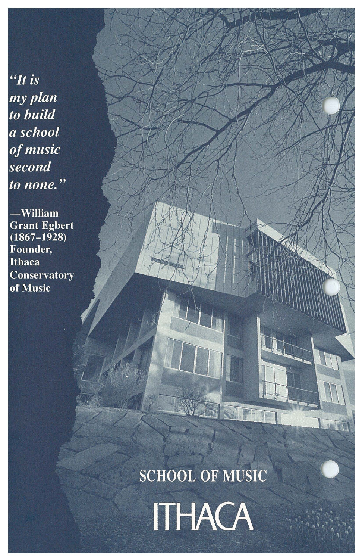"It is my plan to build a school of music second to none."

-William **Grant Egbert**<br>(1867–1928) Founder, **Ithaca Conservatory** of Music

**SCHOOL OF MUSIC** 

SCIEN

**JAIR** 

**ITHACA**